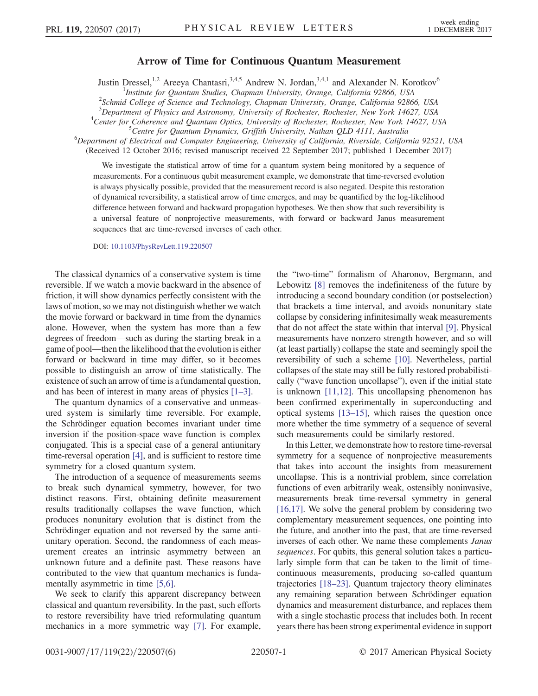## Arrow of Time for Continuous Quantum Measurement

Justin Dressel,<sup>1,2</sup> Areeya Chantasri,<sup>3,4,5</sup> Andrew N. Jordan,<sup>3,4,1</sup> and Alexander N. Korotkov<sup>6</sup>

<sup>1</sup>Institute for Quantum Studies, Chapman University, Orange, California 92866, USA<br><sup>2</sup>Selmid College of Science and Technology Chapman University, Orange, California 9286

 $^{2}$ Schmid College of Science and Technology, Chapman University, Orange, California 92866, USA

<sup>3</sup>Department of Physics and Astronomy, University of Rochester, Rochester, New York 14627, USA<br><sup>4</sup>Center for Coherence and Quantum Optics, University of Rochester, Rochester, New York 14627, U

<sup>4</sup>Center for Coherence and Quantum Optics, University of Rochester, Rochester, New York 14627, USA

 ${}^{5}$ Centre for Quantum Dynamics, Griffith University, Nathan QLD 4111, Australia

Department of Electrical and Computer Engineering, University of California, Riverside, California 92521, USA

(Received 12 October 2016; revised manuscript received 22 September 2017; published 1 December 2017)

We investigate the statistical arrow of time for a quantum system being monitored by a sequence of measurements. For a continuous qubit measurement example, we demonstrate that time-reversed evolution is always physically possible, provided that the measurement record is also negated. Despite this restoration of dynamical reversibility, a statistical arrow of time emerges, and may be quantified by the log-likelihood difference between forward and backward propagation hypotheses. We then show that such reversibility is a universal feature of nonprojective measurements, with forward or backward Janus measurement sequences that are time-reversed inverses of each other.

DOI: [10.1103/PhysRevLett.119.220507](https://doi.org/10.1103/PhysRevLett.119.220507)

The classical dynamics of a conservative system is time reversible. If we watch a movie backward in the absence of friction, it will show dynamics perfectly consistent with the laws of motion, so we may not distinguish whether we watch the movie forward or backward in time from the dynamics alone. However, when the system has more than a few degrees of freedom—such as during the starting break in a game of pool—then the likelihood that the evolution is either forward or backward in time may differ, so it becomes possible to distinguish an arrow of time statistically. The existence of such an arrow of time is a fundamental question, and has been of interest in many areas of physics [1–[3\].](#page-4-0)

The quantum dynamics of a conservative and unmeasured system is similarly time reversible. For example, the Schrödinger equation becomes invariant under time inversion if the position-space wave function is complex conjugated. This is a special case of a general antiunitary time-reversal operation [\[4\],](#page-4-1) and is sufficient to restore time symmetry for a closed quantum system.

The introduction of a sequence of measurements seems to break such dynamical symmetry, however, for two distinct reasons. First, obtaining definite measurement results traditionally collapses the wave function, which produces nonunitary evolution that is distinct from the Schrödinger equation and not reversed by the same antiunitary operation. Second, the randomness of each measurement creates an intrinsic asymmetry between an unknown future and a definite past. These reasons have contributed to the view that quantum mechanics is fundamentally asymmetric in time [\[5,6\]](#page-4-2).

We seek to clarify this apparent discrepancy between classical and quantum reversibility. In the past, such efforts to restore reversibility have tried reformulating quantum mechanics in a more symmetric way [\[7\].](#page-4-3) For example, the "two-time" formalism of Aharonov, Bergmann, and Lebowitz [\[8\]](#page-4-4) removes the indefiniteness of the future by introducing a second boundary condition (or postselection) that brackets a time interval, and avoids nonunitary state collapse by considering infinitesimally weak measurements that do not affect the state within that interval [\[9\]](#page-4-5). Physical measurements have nonzero strength however, and so will (at least partially) collapse the state and seemingly spoil the reversibility of such a scheme [\[10\].](#page-4-6) Nevertheless, partial collapses of the state may still be fully restored probabilistically ("wave function uncollapse"), even if the initial state is unknown [\[11,12\]](#page-4-7). This uncollapsing phenomenon has been confirmed experimentally in superconducting and optical systems [\[13](#page-4-8)–15], which raises the question once more whether the time symmetry of a sequence of several such measurements could be similarly restored.

In this Letter, we demonstrate how to restore time-reversal symmetry for a sequence of nonprojective measurements that takes into account the insights from measurement uncollapse. This is a nontrivial problem, since correlation functions of even arbitrarily weak, ostensibly noninvasive, measurements break time-reversal symmetry in general [\[16,17\].](#page-4-9) We solve the general problem by considering two complementary measurement sequences, one pointing into the future, and another into the past, that are time-reversed inverses of each other. We name these complements Janus sequences. For qubits, this general solution takes a particularly simple form that can be taken to the limit of timecontinuous measurements, producing so-called quantum trajectories [18–[23\].](#page-4-10) Quantum trajectory theory eliminates any remaining separation between Schrödinger equation dynamics and measurement disturbance, and replaces them with a single stochastic process that includes both. In recent years there has been strong experimental evidence in support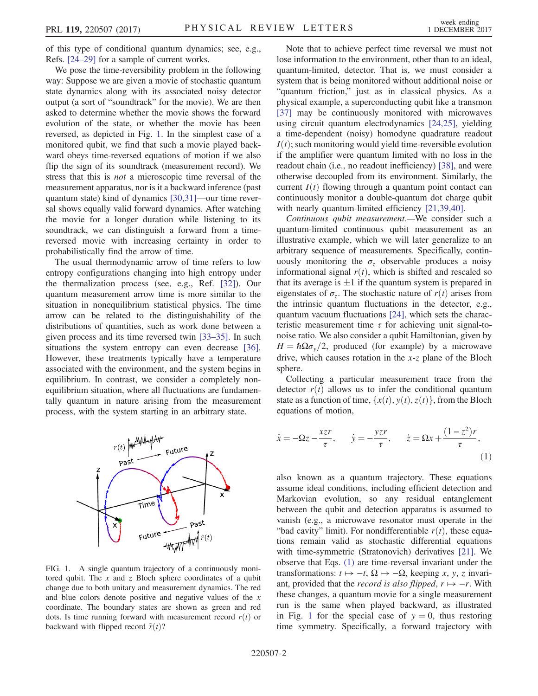of this type of conditional quantum dynamics; see, e.g., Refs. [24–[29\]](#page-4-11) for a sample of current works.

We pose the time-reversibility problem in the following way: Suppose we are given a movie of stochastic quantum state dynamics along with its associated noisy detector output (a sort of "soundtrack" for the movie). We are then asked to determine whether the movie shows the forward evolution of the state, or whether the movie has been reversed, as depicted in Fig. [1](#page-1-0). In the simplest case of a monitored qubit, we find that such a movie played backward obeys time-reversed equations of motion if we also flip the sign of its soundtrack (measurement record). We stress that this is not a microscopic time reversal of the measurement apparatus, nor is it a backward inference (past quantum state) kind of dynamics [\[30,31\]](#page-4-12)—our time reversal shows equally valid forward dynamics. After watching the movie for a longer duration while listening to its soundtrack, we can distinguish a forward from a timereversed movie with increasing certainty in order to probabilistically find the arrow of time.

The usual thermodynamic arrow of time refers to low entropy configurations changing into high entropy under the thermalization process (see, e.g., Ref. [\[32\]](#page-4-13)). Our quantum measurement arrow time is more similar to the situation in nonequilibrium statistical physics. The time arrow can be related to the distinguishability of the distributions of quantities, such as work done between a given process and its time reversed twin [33–[35\].](#page-4-14) In such situations the system entropy can even decrease [\[36\]](#page-5-0). However, these treatments typically have a temperature associated with the environment, and the system begins in equilibrium. In contrast, we consider a completely nonequilibrium situation, where all fluctuations are fundamentally quantum in nature arising from the measurement process, with the system starting in an arbitrary state.

<span id="page-1-0"></span>

FIG. 1. A single quantum trajectory of a continuously monitored qubit. The  $x$  and  $z$  Bloch sphere coordinates of a qubit change due to both unitary and measurement dynamics. The red and blue colors denote positive and negative values of the  $x$ coordinate. The boundary states are shown as green and red dots. Is time running forward with measurement record  $r(t)$  or backward with flipped record  $\tilde{r}(t)$ ?

Note that to achieve perfect time reversal we must not lose information to the environment, other than to an ideal, quantum-limited, detector. That is, we must consider a system that is being monitored without additional noise or "quantum friction," just as in classical physics. As a physical example, a superconducting qubit like a transmon [\[37\]](#page-5-1) may be continuously monitored with microwaves using circuit quantum electrodynamics [\[24,25\]](#page-4-11), yielding a time-dependent (noisy) homodyne quadrature readout  $I(t)$ ; such monitoring would yield time-reversible evolution if the amplifier were quantum limited with no loss in the readout chain (i.e., no readout inefficiency) [\[38\]](#page-5-2), and were otherwise decoupled from its environment. Similarly, the current  $I(t)$  flowing through a quantum point contact can continuously monitor a double-quantum dot charge qubit with nearly quantum-limited efficiency [\[21,39,40\]](#page-4-15).

Continuous qubit measurement.—We consider such a quantum-limited continuous qubit measurement as an illustrative example, which we will later generalize to an arbitrary sequence of measurements. Specifically, continuously monitoring the  $\sigma_z$  observable produces a noisy informational signal  $r(t)$ , which is shifted and rescaled so that its average is  $\pm 1$  if the quantum system is prepared in<br>eigenstates of  $\sigma$ . The stochastic nature of  $r(t)$  arises from eigenstates of  $\sigma_z$ . The stochastic nature of  $r(t)$  arises from the intrinsic quantum fluctuations in the detector, e.g., quantum vacuum fluctuations [\[24\]](#page-4-11), which sets the characteristic measurement time  $\tau$  for achieving unit signal-tonoise ratio. We also consider a qubit Hamiltonian, given by  $H = \hbar \Omega \sigma_{v}/2$ , produced (for example) by a microwave drive, which causes rotation in the  $x-z$  plane of the Bloch sphere.

<span id="page-1-1"></span>Collecting a particular measurement trace from the detector  $r(t)$  allows us to infer the conditional quantum state as a function of time,  $\{x(t), y(t), z(t)\}$ , from the Bloch equations of motion,

$$
\dot{x} = -\Omega z - \frac{x z r}{\tau}, \qquad \dot{y} = -\frac{y z r}{\tau}, \qquad \dot{z} = \Omega x + \frac{(1 - z^2) r}{\tau},\tag{1}
$$

also known as a quantum trajectory. These equations assume ideal conditions, including efficient detection and Markovian evolution, so any residual entanglement between the qubit and detection apparatus is assumed to vanish (e.g., a microwave resonator must operate in the "bad cavity" limit). For nondifferentiable  $r(t)$ , these equations remain valid as stochastic differential equations with time-symmetric (Stratonovich) derivatives [\[21\]](#page-4-15). We observe that Eqs. [\(1\)](#page-1-1) are time-reversal invariant under the transformations:  $t \mapsto -t$ ,  $\Omega \mapsto -\Omega$ , keeping x, y, z invariant, provided that the *record is also flipped*,  $r \mapsto -r$ . With these changes, a quantum movie for a single measurement run is the same when played backward, as illustrated in Fig. [1](#page-1-0) for the special case of  $y = 0$ , thus restoring time symmetry. Specifically, a forward trajectory with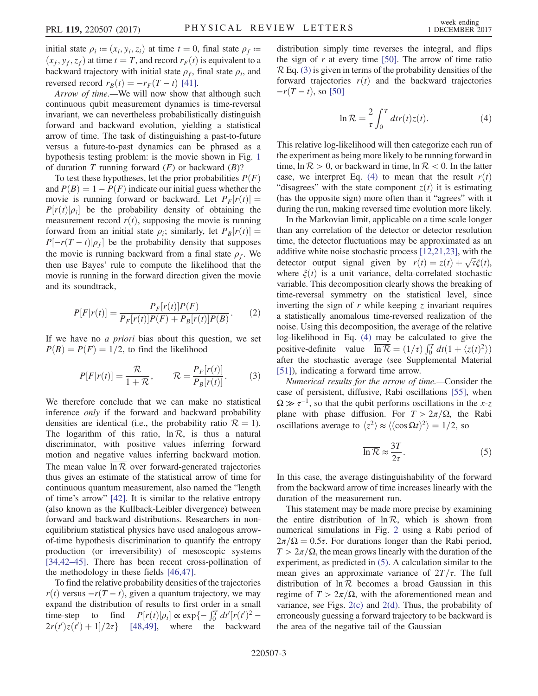initial state  $\rho_i$  =  $(x_i, y_i, z_i)$  at time  $t = 0$ , final state  $\rho_f$  =  $(x_f, y_f, z_f)$  at time  $t = T$ , and record  $r_F(t)$  is equivalent to a backward trajectory with initial state  $\rho_f$ , final state  $\rho_i$ , and reversed record  $r_B(t) = -r_F(T - t)$  [\[41\].](#page-5-3)

Arrow of time.—We will now show that although such continuous qubit measurement dynamics is time-reversal invariant, we can nevertheless probabilistically distinguish forward and backward evolution, yielding a statistical arrow of time. The task of distinguishing a past-to-future versus a future-to-past dynamics can be phrased as a hypothesis testing problem: is the movie shown in Fig. [1](#page-1-0) of duration T running forward  $(F)$  or backward  $(B)$ ?

To test these hypotheses, let the prior probabilities  $P(F)$ and  $P(B) = 1 - P(F)$  indicate our initial guess whether the movie is running forward or backward. Let  $P_F[r(t)] =$  $P[r(t)|\rho_i]$  be the probability density of obtaining the measurement record  $r(t)$ , supposing the movie is running forward from an initial state  $\rho_i$ ; similarly, let  $P_B[r(t)] =$  $P[-r(T-t)|\rho_t]$  be the probability density that supposes the movie is running backward from a final state  $\rho_f$ . We then use Bayes' rule to compute the likelihood that the movie is running in the forward direction given the movie and its soundtrack,

$$
P[F|r(t)] = \frac{P_F[r(t)]P(F)}{P_F[r(t)]P(F) + P_B[r(t)]P(B)}.
$$
 (2)

<span id="page-2-0"></span>If we have no a priori bias about this question, we set  $P(B) = P(F) = 1/2$ , to find the likelihood

$$
P[F|r(t)] = \frac{\mathcal{R}}{1 + \mathcal{R}}, \qquad \mathcal{R} = \frac{P_F[r(t)]}{P_B[r(t)]}.
$$
 (3)

We therefore conclude that we can make no statistical inference only if the forward and backward probability densities are identical (i.e., the probability ratio  $\mathcal{R} = 1$ ). The logarithm of this ratio,  $\ln \mathcal{R}$ , is thus a natural discriminator, with positive values inferring forward motion and negative values inferring backward motion. The mean value  $\overline{\ln R}$  over forward-generated trajectories thus gives an estimate of the statistical arrow of time for continuous quantum measurement, also named the "length of time's arrow" [\[42\]](#page-5-4). It is similar to the relative entropy (also known as the Kullback-Leibler divergence) between forward and backward distributions. Researchers in nonequilibrium statistical physics have used analogous arrowof-time hypothesis discrimination to quantify the entropy production (or irreversibility) of mesoscopic systems [\[34,42](#page-4-16)–45]. There has been recent cross-pollination of the methodology in these fields [\[46,47\].](#page-5-5)

To find the relative probability densities of the trajectories  $r(t)$  versus  $-r(T - t)$ , given a quantum trajectory, we may expand the distribution of results to first order in a small time-step to find  $P[r(t)|\rho_i] \propto \exp\{-\int_0^T dt'[r(t')^2 - 2r(t')\sigma(t') + 1]/2\sigma\}$  [48,49] where the backward  $2r(t')z(t') + 1]/2\tau$  [\[48,49\]](#page-5-6), where the backward <span id="page-2-1"></span>distribution simply time reverses the integral, and flips the sign of  $r$  at every time [\[50\].](#page-5-7) The arrow of time ratio  $\mathcal{R}$  Eq. [\(3\)](#page-2-0) is given in terms of the probability densities of the forward trajectories  $r(t)$  and the backward trajectories  $-r(T - t)$ , so [\[50\]](#page-5-7)

$$
\ln \mathcal{R} = \frac{2}{\tau} \int_0^T dr r(t) z(t).
$$
 (4)

This relative log-likelihood will then categorize each run of the experiment as being more likely to be running forward in time,  $\ln \mathcal{R} > 0$ , or backward in time,  $\ln \mathcal{R} < 0$ . In the latter case, we interpret Eq. [\(4\)](#page-2-1) to mean that the result  $r(t)$ "disagrees" with the state component  $z(t)$  it is estimating (has the opposite sign) more often than it "agrees" with it during the run, making reversed time evolution more likely.

In the Markovian limit, applicable on a time scale longer than any correlation of the detector or detector resolution time, the detector fluctuations may be approximated as an additive white noise stochastic process [\[12,21,23\]](#page-4-17), with the detector output signal given by  $r(t) = z(t) + \sqrt{\tau} \xi(t)$ ,<br>where  $\xi(t)$  is a unit variance delta-correlated stochastic where  $\xi(t)$  is a unit variance, delta-correlated stochastic variable. This decomposition clearly shows the breaking of time-reversal symmetry on the statistical level, since inverting the sign of  $r$  while keeping  $\zeta$  invariant requires a statistically anomalous time-reversed realization of the noise. Using this decomposition, the average of the relative log-likelihood in Eq. [\(4\)](#page-2-1) may be calculated to give the positive-definite value  $\overline{\ln R} = (1/\tau) \int_0^T dt (1 + \langle z(t)^2 \rangle)$ <br>after the stochastic average (see Supplemental Material after the stochastic average (see Supplemental Material [\[51\]](#page-5-8)), indicating a forward time arrow.

<span id="page-2-2"></span>Numerical results for the arrow of time.—Consider the case of persistent, diffusive, Rabi oscillations [\[55\],](#page-5-9) when  $\Omega \gg \tau^{-1}$ , so that the qubit performs oscillations in the x-z plane with phase diffusion. For  $T > 2\pi/\Omega$ , the Rabi oscillations average to  $\langle z^2 \rangle \approx \langle (\cos \Omega t)^2 \rangle = 1/2$ , so

$$
\overline{\ln \mathcal{R}} \approx \frac{3T}{2\tau}.
$$
 (5)

In this case, the average distinguishability of the forward from the backward arrow of time increases linearly with the duration of the measurement run.

This statement may be made more precise by examining the entire distribution of  $\ln R$ , which is shown from numerical simulations in Fig. [2](#page-3-0) using a Rabi period of  $2\pi/\Omega = 0.5\tau$ . For durations longer than the Rabi period,  $T > 2\pi/\Omega$ , the mean grows linearly with the duration of the experiment, as predicted in [\(5\).](#page-2-2) A calculation similar to the mean gives an approximate variance of  $2T/\tau$ . The full distribution of  $\ln \mathcal{R}$  becomes a broad Gaussian in this regime of  $T > 2\pi/\Omega$ , with the aforementioned mean and variance, see Figs.  $2(c)$  and  $2(d)$ . Thus, the probability of erroneously guessing a forward trajectory to be backward is the area of the negative tail of the Gaussian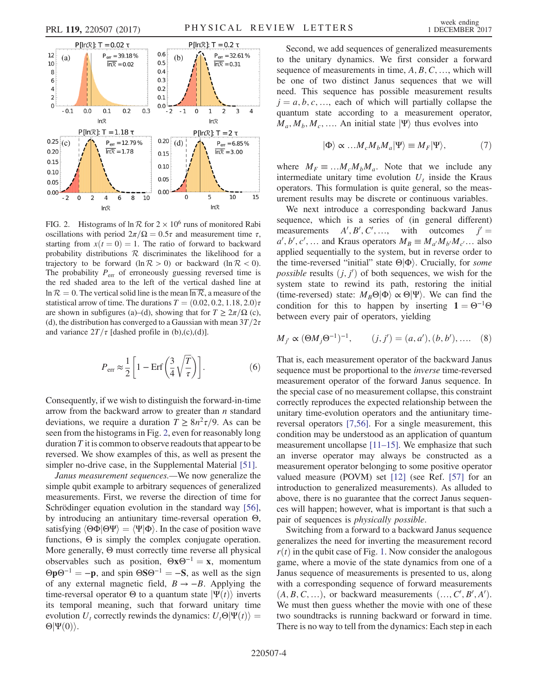<span id="page-3-0"></span>

FIG. 2. Histograms of  $\ln \mathcal{R}$  for  $2 \times 10^6$  runs of monitored Rabi oscillations with period  $2\pi/\Omega = 0.5\tau$  and measurement time  $\tau$ , starting from  $x(t = 0) = 1$ . The ratio of forward to backward probability distributions  $R$  discriminates the likelihood for a trajectory to be forward  $(\ln R > 0)$  or backward  $(\ln R < 0)$ . The probability  $P_{\text{err}}$  of erroneously guessing reversed time is the red shaded area to the left of the vertical dashed line at  $\ln \mathcal{R} = 0$ . The vertical solid line is the mean  $\ln \mathcal{R}$ , a measure of the statistical arrow of time. The durations  $T = (0.02, 0.2, 1.18, 2.0)\tau$ are shown in subfigures (a)–(d), showing that for  $T \geq 2\pi/\Omega$  (c), (d), the distribution has converged to a Gaussian with mean  $3T/2\tau$ and variance  $2T/\tau$  [dashed profile in (b),(c),(d)].

$$
P_{\rm err} \approx \frac{1}{2} \left[ 1 - \text{Erf} \left( \frac{3}{4} \sqrt{\frac{T}{\tau}} \right) \right]. \tag{6}
$$

Consequently, if we wish to distinguish the forward-in-time arrow from the backward arrow to greater than  $n$  standard deviations, we require a duration  $T \geq 8n^2\tau/9$ . As can be seen from the histograms in Fig. [2](#page-3-0), even for reasonably long duration  $T$  it is common to observe readouts that appear to be reversed. We show examples of this, as well as present the simpler no-drive case, in the Supplemental Material [\[51\]](#page-5-8).

Janus measurement sequences.—We now generalize the simple qubit example to arbitrary sequences of generalized measurements. First, we reverse the direction of time for Schrödinger equation evolution in the standard way [\[56\]](#page-5-10), by introducing an antiunitary time-reversal operation Θ, satisfying  $\langle \Theta \Phi | \Theta \Psi \rangle = \langle \Psi | \Phi \rangle$ . In the case of position wave functions, Θ is simply the complex conjugate operation. More generally, Θ must correctly time reverse all physical observables such as position,  $\Theta x \Theta^{-1} = x$ , momentum  $\Theta p \Theta^{-1} = -p$ , and spin  $\Theta S \Theta^{-1} = -S$ , as well as the sign of any external magnetic field,  $B \rightarrow -B$ . Applying the time-reversal operator  $\Theta$  to a quantum state  $|\Psi(t)\rangle$  inverts its temporal meaning, such that forward unitary time evolution  $U_t$  correctly rewinds the dynamics:  $U_t\Theta|\Psi(t)\rangle =$  $\Theta|\Psi(0)\rangle$ .

Second, we add sequences of generalized measurements to the unitary dynamics. We first consider a forward sequence of measurements in time,  $A, B, C, \ldots$ , which will be one of two distinct Janus sequences that we will need. This sequence has possible measurement results  $j = a, b, c, \ldots$ , each of which will partially collapse the quantum state according to a measurement operator,  $M_a, M_b, M_c, \ldots$ . An initial state  $|\Psi\rangle$  thus evolves into

$$
|\Phi\rangle \propto \dots M_c M_b M_a |\Psi\rangle \equiv M_F |\Psi\rangle, \tag{7}
$$

where  $M_F \equiv ... M_c M_b M_a$ . Note that we include any intermediate unitary time evolution  $U_t$  inside the Kraus operators. This formulation is quite general, so the measurement results may be discrete or continuous variables.

We next introduce a corresponding backward Janus sequence, which is a series of (in general different) measurements  $i, B', C', ...,$  with outcomes  $j' =$ <br>aus operators  $M_D = M / M / M$ , also  $a', b', c', \dots$  and Kraus operators  $M_B \equiv M_{a'}M_{b'}M_{c'}\dots$  also applied sequentially to the system, but in reverse order to the time-reversed "initial" state  $\Theta|\Phi\rangle$ . Crucially, for *some* possible results  $(j, j')$  of both sequences, we wish for the system state to rewind its path restoring the initial system state to rewind its path, restoring the initial (time-reversed) state:  $M_B\Theta|\Phi\rangle \propto \Theta|\Psi\rangle$ . We can find the condition for this to happen by inserting  $1 = \Theta^{-1} \Theta$ between every pair of operators, yielding

$$
M_{j'} \propto (\Theta M_j \Theta^{-1})^{-1},
$$
  $(j, j') = (a, a'), (b, b'), ....$  (8)

That is, each measurement operator of the backward Janus sequence must be proportional to the inverse time-reversed measurement operator of the forward Janus sequence. In the special case of no measurement collapse, this constraint correctly reproduces the expected relationship between the unitary time-evolution operators and the antiunitary timereversal operators [\[7,56\].](#page-4-3) For a single measurement, this condition may be understood as an application of quantum measurement uncollapse [11–[15\].](#page-4-7) We emphasize that such an inverse operator may always be constructed as a measurement operator belonging to some positive operator valued measure (POVM) set [\[12\]](#page-4-17) (see Ref. [\[57\]](#page-5-11) for an introduction to generalized measurements). As alluded to above, there is no guarantee that the correct Janus sequences will happen; however, what is important is that such a pair of sequences is physically possible.

Switching from a forward to a backward Janus sequence generalizes the need for inverting the measurement record  $r(t)$  in the qubit case of Fig. [1.](#page-1-0) Now consider the analogous game, where a movie of the state dynamics from one of a Janus sequence of measurements is presented to us, along with a corresponding sequence of forward measurements  $(A, B, C, ...)$ , or backward measurements  $( ..., C, B', A')$ .<br>We must then quess whether the movie with one of these We must then guess whether the movie with one of these two soundtracks is running backward or forward in time. There is no way to tell from the dynamics: Each step in each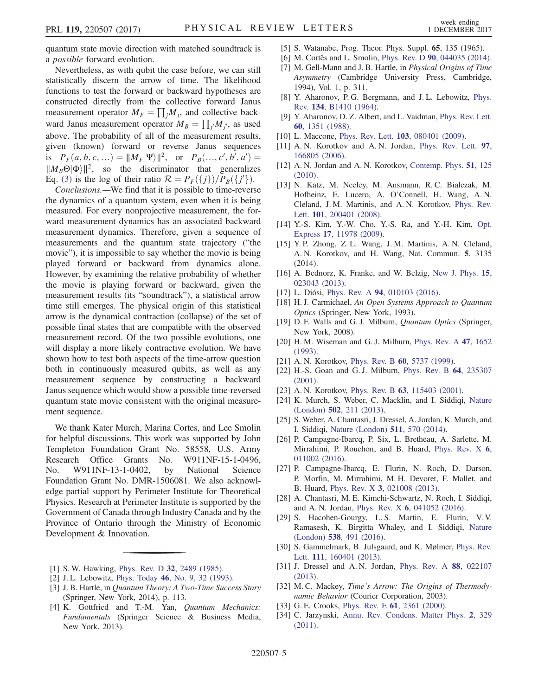quantum state movie direction with matched soundtrack is a possible forward evolution.

Nevertheless, as with qubit the case before, we can still statistically discern the arrow of time. The likelihood functions to test the forward or backward hypotheses are constructed directly from the collective forward Janus measurement operator  $M_F = \prod_j M_j$ , and collective back-<br>word Janus measurement operator  $M = \prod_{j=1}^N M_j$ , as used ward Janus measurement operator  $M_B = \prod_j M_j$ , as used<br>above. The probability of all of the measurement results above. The probability of all of the measurement results, given (known) forward or reverse Janus sequences is  $P_F(a, b, c, ...) = ||M_F|\Psi\rangle||^2$ , or  $P_B(..., c', b', a')$ <br> $||M_F\Theta|\Phi\rangle||^2$  so the discriminator that general  $\|\mathcal{M}_B \Theta[\Phi]\|^2$ , so the discriminator that generalizes<br>Eq. (3) is the log of their ratio  $\mathcal{R} = P_{\sigma}(\{i\})/P_{\sigma}(\{i'\})$ Eq. [\(3\)](#page-2-0) is the log of their ratio  $\mathcal{R} = P_F({j})/P_B({j'})$ .<br>Conclusions —We find that it is possible to time-reverse

Conclusions.—We find that it is possible to time-reverse the dynamics of a quantum system, even when it is being measured. For every nonprojective measurement, the forward measurement dynamics has an associated backward measurement dynamics. Therefore, given a sequence of measurements and the quantum state trajectory ("the movie"), it is impossible to say whether the movie is being played forward or backward from dynamics alone. However, by examining the relative probability of whether the movie is playing forward or backward, given the measurement results (its "soundtrack"), a statistical arrow time still emerges. The physical origin of this statistical arrow is the dynamical contraction (collapse) of the set of possible final states that are compatible with the observed measurement record. Of the two possible evolutions, one will display a more likely contractive evolution. We have shown how to test both aspects of the time-arrow question both in continuously measured qubits, as well as any measurement sequence by constructing a backward Janus sequence which would show a possible time-reversed quantum state movie consistent with the original measurement sequence.

We thank Kater Murch, Marina Cortes, and Lee Smolin for helpful discussions. This work was supported by John Templeton Foundation Grant No. 58558, U.S. Army Research Office Grants No. W911NF-15-1-0496, No. W911NF-13-1-0402, by National Science Foundation Grant No. DMR-1506081. We also acknowledge partial support by Perimeter Institute for Theoretical Physics. Research at Perimeter Institute is supported by the Government of Canada through Industry Canada and by the Province of Ontario through the Ministry of Economic Development & Innovation.

- <span id="page-4-0"></span>[1] S. W. Hawking, Phys. Rev. D 32[, 2489 \(1985\).](https://doi.org/10.1103/PhysRevD.32.2489)
- [2] J. L. Lebowitz, Phys. Today 46[, No. 9, 32 \(1993\)](https://doi.org/10.1063/1.881363).
- [3] J. B. Hartle, in Quantum Theory: A Two-Time Success Story (Springer, New York, 2014), p. 113.
- <span id="page-4-1"></span>[4] K. Gottfried and T.-M. Yan, Quantum Mechanics: Fundamentals (Springer Science & Business Media, New York, 2013).
- <span id="page-4-2"></span>[5] S. Watanabe, Prog. Theor. Phys. Suppl. 65, 135 (1965).
- [6] M. Cortês and L. Smolin, Phys. Rev. D 90[, 044035 \(2014\).](https://doi.org/10.1103/PhysRevD.90.044035)
- <span id="page-4-3"></span>[7] M. Gell-Mann and J. B. Hartle, in Physical Origins of Time Asymmetry (Cambridge University Press, Cambridge, 1994), Vol. 1, p. 311.
- <span id="page-4-4"></span>[8] Y. Aharonov, P. G. Bergmann, and J. L. Lebowitz, [Phys.](https://doi.org/10.1103/PhysRev.134.B1410) Rev. 134[, B1410 \(1964\).](https://doi.org/10.1103/PhysRev.134.B1410)
- <span id="page-4-5"></span>[9] Y. Aharonov, D. Z. Albert, and L. Vaidman, [Phys. Rev. Lett.](https://doi.org/10.1103/PhysRevLett.60.1351) 60[, 1351 \(1988\)](https://doi.org/10.1103/PhysRevLett.60.1351).
- <span id="page-4-7"></span><span id="page-4-6"></span>[10] L. Maccone, Phys. Rev. Lett. **103**[, 080401 \(2009\).](https://doi.org/10.1103/PhysRevLett.103.080401)
- [11] A. N. Korotkov and A. N. Jordan, [Phys. Rev. Lett.](https://doi.org/10.1103/PhysRevLett.97.166805) 97, [166805 \(2006\).](https://doi.org/10.1103/PhysRevLett.97.166805)
- <span id="page-4-17"></span>[12] A. N. Jordan and A. N. Korotkov, [Contemp. Phys.](https://doi.org/10.1080/00107510903385292) 51, 125 [\(2010\).](https://doi.org/10.1080/00107510903385292)
- <span id="page-4-8"></span>[13] N. Katz, M. Neeley, M. Ansmann, R. C. Bialczak, M. Hofheinz, E. Lucero, A. O'Connell, H. Wang, A. N. Cleland, J. M. Martinis, and A. N. Korotkov, [Phys. Rev.](https://doi.org/10.1103/PhysRevLett.101.200401) Lett. **101**[, 200401 \(2008\)](https://doi.org/10.1103/PhysRevLett.101.200401).
- [14] Y.-S. Kim, Y.-W. Cho, Y.-S. Ra, and Y.-H. Kim, [Opt.](https://doi.org/10.1364/OE.17.011978) Express 17[, 11978 \(2009\)](https://doi.org/10.1364/OE.17.011978).
- [15] Y. P. Zhong, Z. L. Wang, J. M. Martinis, A. N. Cleland, A. N. Korotkov, and H. Wang, Nat. Commun. 5, 3135 (2014).
- <span id="page-4-9"></span>[16] A. Bednorz, K. Franke, and W. Belzig, [New J. Phys.](https://doi.org/10.1088/1367-2630/15/2/023043) 15, [023043 \(2013\).](https://doi.org/10.1088/1367-2630/15/2/023043)
- <span id="page-4-10"></span>[17] L. Diósi, Phys. Rev. A 94[, 010103 \(2016\)](https://doi.org/10.1103/PhysRevA.94.010103).
- [18] H. J. Carmichael, An Open Systems Approach to Quantum Optics (Springer, New York, 1993).
- [19] D. F. Walls and G. J. Milburn, *Quantum Optics* (Springer, New York, 2008).
- [20] H. M. Wiseman and G. J. Milburn, [Phys. Rev. A](https://doi.org/10.1103/PhysRevA.47.1652) 47, 1652 [\(1993\).](https://doi.org/10.1103/PhysRevA.47.1652)
- <span id="page-4-15"></span>[21] A. N. Korotkov, Phys. Rev. B 60[, 5737 \(1999\)](https://doi.org/10.1103/PhysRevB.60.5737).
- [22] H.-S. Goan and G.J. Milburn, [Phys. Rev. B](https://doi.org/10.1103/PhysRevB.64.235307) 64, 235307 [\(2001\).](https://doi.org/10.1103/PhysRevB.64.235307)
- <span id="page-4-11"></span>[23] A. N. Korotkov, Phys. Rev. B 63[, 115403 \(2001\).](https://doi.org/10.1103/PhysRevB.63.115403)
- [24] K. Murch, S. Weber, C. Macklin, and I. Siddiqi, [Nature](https://doi.org/10.1038/nature12539) (London) 502[, 211 \(2013\)](https://doi.org/10.1038/nature12539).
- [25] S. Weber, A. Chantasri, J. Dressel, A. Jordan, K. Murch, and I. Siddiqi, [Nature \(London\)](https://doi.org/10.1038/nature13559) 511, 570 (2014).
- [26] P. Campagne-Ibarcq, P. Six, L. Bretheau, A. Sarlette, M. Mirrahimi, P. Rouchon, and B. Huard, [Phys. Rev. X](https://doi.org/10.1103/PhysRevX.6.011002) 6, [011002 \(2016\).](https://doi.org/10.1103/PhysRevX.6.011002)
- [27] P. Campagne-Ibarcq, E. Flurin, N. Roch, D. Darson, P. Morfin, M. Mirrahimi, M. H. Devoret, F. Mallet, and B. Huard, Phys. Rev. X 3[, 021008 \(2013\).](https://doi.org/10.1103/PhysRevX.3.021008)
- [28] A. Chantasri, M. E. Kimchi-Schwartz, N. Roch, I. Siddiqi, and A. N. Jordan, Phys. Rev. X 6[, 041052 \(2016\)](https://doi.org/10.1103/PhysRevX.6.041052).
- [29] S. Hacohen-Gourgy, L. S. Martin, E. Flurin, V. V. Ramasesh, K. Birgitta Whaley, and I. Siddiqi, [Nature](https://doi.org/10.1038/nature19762) (London) 538[, 491 \(2016\)](https://doi.org/10.1038/nature19762).
- <span id="page-4-12"></span>[30] S. Gammelmark, B. Julsgaard, and K. Mølmer, [Phys. Rev.](https://doi.org/10.1103/PhysRevLett.111.160401) Lett. **111**[, 160401 \(2013\)](https://doi.org/10.1103/PhysRevLett.111.160401).
- <span id="page-4-13"></span>[31] J. Dressel and A. N. Jordan, [Phys. Rev. A](https://doi.org/10.1103/PhysRevA.88.022107) 88, 022107 [\(2013\).](https://doi.org/10.1103/PhysRevA.88.022107)
- <span id="page-4-14"></span>[32] M. C. Mackey, *Time's Arrow: The Origins of Thermody*namic Behavior (Courier Corporation, 2003).
- <span id="page-4-16"></span>[33] G. E. Crooks, Phys. Rev. E **61**[, 2361 \(2000\)](https://doi.org/10.1103/PhysRevE.61.2361).
- [34] C. Jarzynski, [Annu. Rev. Condens. Matter Phys.](https://doi.org/10.1146/annurev-conmatphys-062910-140506) 2, 329 [\(2011\).](https://doi.org/10.1146/annurev-conmatphys-062910-140506)